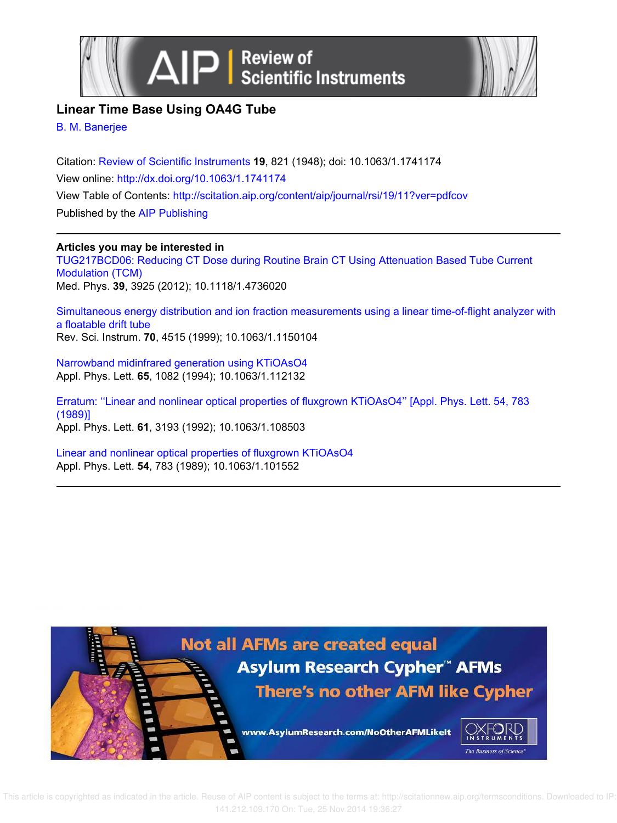



# **Linear Time Base Using OA4G Tube**

B. M. Banerjee

Citation: Review of Scientific Instruments **19**, 821 (1948); doi: 10.1063/1.1741174 View online: http://dx.doi.org/10.1063/1.1741174 View Table of Contents: http://scitation.aip.org/content/aip/journal/rsi/19/11?ver=pdfcov Published by the AIP Publishing

## **Articles you may be interested in**

TUG217BCD06: Reducing CT Dose during Routine Brain CT Using Attenuation Based Tube Current Modulation (TCM) Med. Phys. **39**, 3925 (2012); 10.1118/1.4736020

Simultaneous energy distribution and ion fraction measurements using a linear time-of-flight analyzer with a floatable drift tube Rev. Sci. Instrum. **70**, 4515 (1999); 10.1063/1.1150104

Narrowband midinfrared generation using KTiOAsO4 Appl. Phys. Lett. **65**, 1082 (1994); 10.1063/1.112132

Erratum: ''Linear and nonlinear optical properties of fluxgrown KTiOAsO4'' [Appl. Phys. Lett. 54, 783 (1989)] Appl. Phys. Lett. **61**, 3193 (1992); 10.1063/1.108503

Linear and nonlinear optical properties of fluxgrown KTiOAsO4 Appl. Phys. Lett. **54**, 783 (1989); 10.1063/1.101552

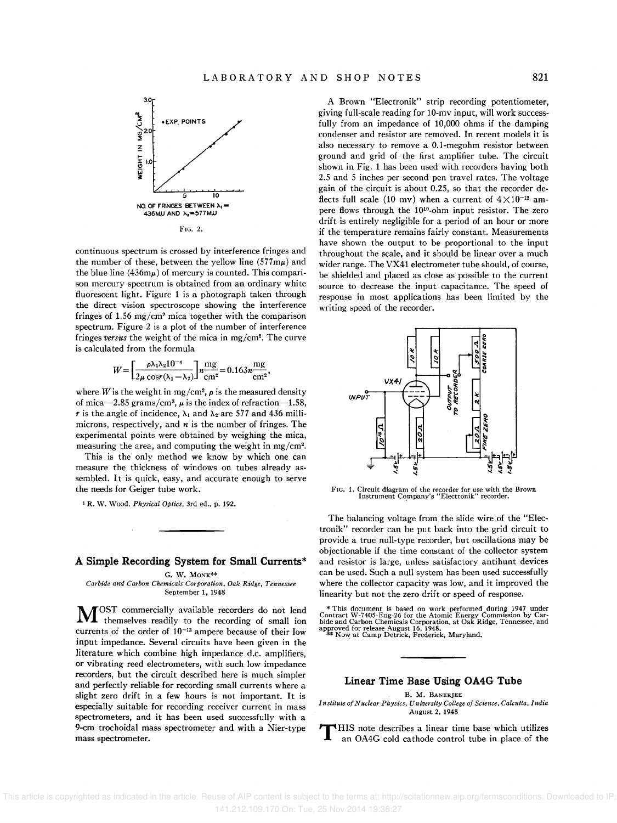

continuous spectrum is crossed by interference fringes and the number of these, between the yellow line  $(577 \text{m}\mu)$  and the blue line  $(436m\mu)$  of mercury is counted. This comparison mercury spectrum is obtained from an ordinary white fluorescent light. Figure 1 is a photograph taken through the direct vision spectroscope showing the interference fringes of 1.56 mg/cm' mica together with the comparison spectrum. Figure 2 is a plot of the number of interference fringes *versus* the weight of the mica in mg/cm'. The curve is calculated from the formula

$$
W = \left[\frac{\rho \lambda_1 \lambda_2 10^{-4}}{2\mu \cos(\lambda_1 - \lambda_2)}\right] n \frac{\text{mg}}{\text{cm}^2} = 0.163 n \frac{\text{mg}}{\text{cm}^2},
$$

where *W* is the weight in mg/cm<sup>2</sup>,  $\rho$  is the measured density of mica-2.85 grams/cm<sup>3</sup>,  $\mu$  is the index of refraction-1.58, r is the angle of incidence,  $\lambda_1$  and  $\lambda_2$  are 577 and 436 millimicrons, respectively, and *n* is the number of fringes. The experimental points were obtained by weighing the mica, measuring the area, and computing the weight in mg/cm'.

This is the only method we know by which one can measure the thickness of windows on tubes already assembled. It is quick, easy, and accurate enough to serve the needs for Geiger tube work.

<sup>1</sup>R. W. Wood, *Physical Optics,* 3rd ed .. p. 192.

### **A Simple Recording System for Small Currents\***

G. W. MONK\*\*

*Carbide and Carbon Chemicals Corporation. Oak Ridge, Tennessee*  September 1, 1948

M OST commercially available recorders do not lend themselves readily to the recording of small ion currents of the order of 10-13 ampere because of their low input impedance. Several circuits have been given in the literature which combine high impedance d.c. amplifiers, or vibrating reed electrometers, with such low impedance recorders, but the circuit described here is much simpler and perfectly reliable for recording small currents where a slight zero drift in a few hours is not important. It is especially suitable for recording receiver current in mass spectrometers, and it has been used successfully with a 9-cm trochoidal mass spectrometer and with a Nier-type mass spectrometer.

A Brown "Electronik" strip recording potentiometer, giving full-scale reading for 10-mv input, will work successfully from an impedance of 10,000 ohms if the damping condenser and resistor are removed. In recent models it is also necessary to remove a O.l-megohm resistor between ground and grid of the first amplifier tube. The circuit shown in Fig. 1 has been used with recorders having both 2.5 and 5 inches per second pen travel rates. The voltage gain of the circuit is about 0.25, so that the recorder deflects full scale (10 mv) when a current of  $4 \times 10^{-12}$  ampere flows through the 10<sup>10</sup>-ohm input resistor. The zero drift is entirely negligible for a period of an hour or more if the temperature remains fairly constant. Measurements have shown the output to be proportional to the input throughout the scale, and it should be linear over a much wider range. The VX4l electrometer tube should, of course, be shielded and placed as close as possible to the current source to decrease the input capacitance. The speed of response in most applications has been limited by the writing speed of the recorder.



FIG. 1. Circuit diagram of the recorder for use with the Brown Instrument Company's "Electronik" recorder.

The balancing voltage from the slide wire of the "Electronik" recorder can be put back into the grid circuit to provide a true null-type recorder, but oscillations may be objectionable if the time constant of the collector system and resistor is large, unless satisfactory antihunt devices can be used. Such a null system has been used successfully where the collector capacity was low, and it improved the linearity but not the zero drift or speed of response.

\* This document is based on work performed during 1947 under<br>Contract W-7405-Eng-26 for the Atomic Energy Commission by Car-<br>bide and Carbon Chemicals Corporation, at Oak Ridge, Tennessee, and<br>approved for release August

### **Linear Time Base Using OA4G Tube**

B. M. BANERJEE

*Institute of Nuclear Physics, University College of Science, Calcutta, India*  August 2, 1948

 $\mathbf T$ HIS note describes a linear time base which utilizes an OA4G cold cathode control tube in place of the